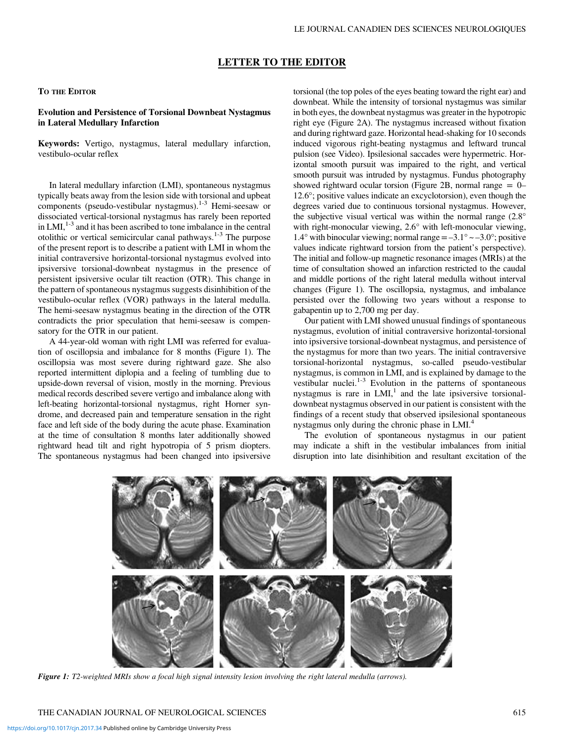# LETTER TO THE EDITOR

### TO THE EDITOR

## Evolution and Persistence of Torsional Downbeat Nystagmus in Lateral Medullary Infarction

Keywords: Vertigo, nystagmus, lateral medullary infarction, vestibulo-ocular reflex

In lateral medullary infarction (LMI), spontaneous nystagmus typically beats away from the lesion side with torsional and upbeat components (pseudo-vestibular nystagmus). $1-3$  Hemi-seesaw or dissociated vertical-torsional nystagmus has rarely been reported in LMI, $1-3$  and it has been ascribed to tone imbalance in the central otolithic or vertical semicircular canal pathways.<sup>1-3</sup> The purpose of the present report is to describe a patient with LMI in whom the initial contraversive horizontal-torsional nystagmus evolved into ipsiversive torsional-downbeat nystagmus in the presence of persistent ipsiversive ocular tilt reaction (OTR). This change in the pattern of spontaneous nystagmus suggests disinhibition of the vestibulo-ocular reflex (VOR) pathways in the lateral medulla. The hemi-seesaw nystagmus beating in the direction of the OTR contradicts the prior speculation that hemi-seesaw is compensatory for the OTR in our patient.

A 44-year-old woman with right LMI was referred for evaluation of oscillopsia and imbalance for 8 months (Figure 1). The oscillopsia was most severe during rightward gaze. She also reported intermittent diplopia and a feeling of tumbling due to upside-down reversal of vision, mostly in the morning. Previous medical records described severe vertigo and imbalance along with left-beating horizontal-torsional nystagmus, right Horner syndrome, and decreased pain and temperature sensation in the right face and left side of the body during the acute phase. Examination at the time of consultation 8 months later additionally showed rightward head tilt and right hypotropia of 5 prism diopters. The spontaneous nystagmus had been changed into ipsiversive

torsional (the top poles of the eyes beating toward the right ear) and downbeat. While the intensity of torsional nystagmus was similar in both eyes, the downbeat nystagmus was greater in the hypotropic right eye ([Figure 2A](#page-1-0)). The nystagmus increased without fixation and during rightward gaze. Horizontal head-shaking for 10 seconds induced vigorous right-beating nystagmus and leftward truncal pulsion (see Video). Ipsilesional saccades were hypermetric. Horizontal smooth pursuit was impaired to the right, and vertical smooth pursuit was intruded by nystagmus. Fundus photography showed rightward ocular torsion [\(Figure 2B](#page-1-0), normal range  $= 0-$ 12.6°; positive values indicate an excyclotorsion), even though the degrees varied due to continuous torsional nystagmus. However, the subjective visual vertical was within the normal range (2.8° with right-monocular viewing, 2.6° with left-monocular viewing, 1.4° with binocular viewing; normal range  $=-3.1$ °  $\sim -3.0$ °; positive values indicate rightward torsion from the patient's perspective). The initial and follow-up magnetic resonance images (MRIs) at the time of consultation showed an infarction restricted to the caudal and middle portions of the right lateral medulla without interval changes (Figure 1). The oscillopsia, nystagmus, and imbalance persisted over the following two years without a response to gabapentin up to 2,700 mg per day.

Our patient with LMI showed unusual findings of spontaneous nystagmus, evolution of initial contraversive horizontal-torsional into ipsiversive torsional-downbeat nystagmus, and persistence of the nystagmus for more than two years. The initial contraversive torsional-horizontal nystagmus, so-called pseudo-vestibular nystagmus, is common in LMI, and is explained by damage to the vestibular nuclei. $1-3$  $1-3$  $1-3$  Evolution in the patterns of spontaneous nystagmus is rare in  $LMI$ ,<sup>[1](#page-2-0)</sup> and the late ipsiversive torsionaldownbeat nystagmus observed in our patient is consistent with the findings of a recent study that observed ipsilesional spontaneous nystagmus only during the chronic phase in LMI.<sup>4</sup>

The evolution of spontaneous nystagmus in our patient may indicate a shift in the vestibular imbalances from initial disruption into late disinhibition and resultant excitation of the



Figure 1: T2-weighted MRIs show a focal high signal intensity lesion involving the right lateral medulla (arrows).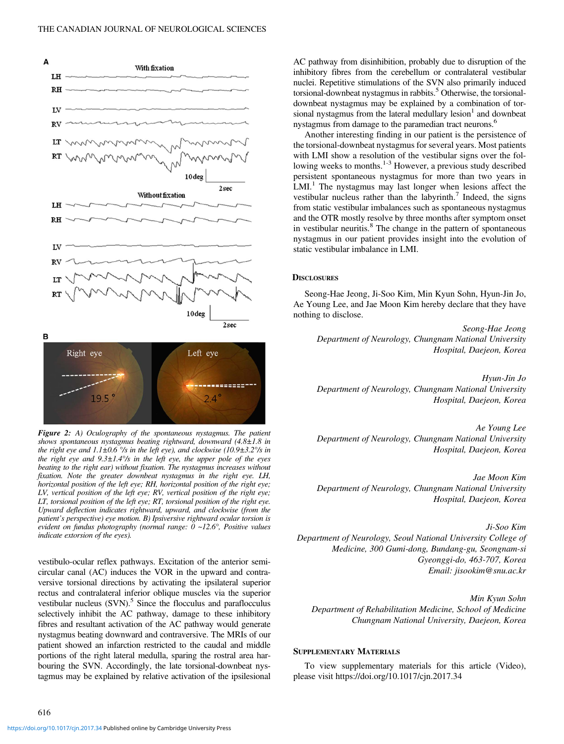<span id="page-1-0"></span>



Figure 2: A) Oculography of the spontaneous nystagmus. The patient shows spontaneous nystagmus beating rightward, downward  $(4.8\pm1.8)$  in the right eye and  $1.1\pm0.6^\circ$ /s in the left eye), and clockwise (10.9 $\pm3.2^\circ$ /s in the right eye and  $9.3 \pm 1.4$ % in the left eye, the upper pole of the eyes beating to the right ear) without fixation. The nystagmus increases without fixation. Note the greater downbeat nystagmus in the right eye. LH, horizontal position of the left eye; RH, horizontal position of the right eye; LV, vertical position of the left eye; RV, vertical position of the right eye; LT, torsional position of the left eye; RT, torsional position of the right eye. Upward deflection indicates rightward, upward, and clockwise (from the patient's perspective) eye motion. B) Ipsiversive rightward ocular torsion is evident on fundus photography (normal range: 0 ~12.6°, Positive values indicate extorsion of the eyes).

vestibulo-ocular reflex pathways. Excitation of the anterior semicircular canal (AC) induces the VOR in the upward and contraversive torsional directions by activating the ipsilateral superior rectus and contralateral inferior oblique muscles via the superior vestibular nucleus  $(SVN)$ .<sup>5</sup> Since the flocculus and paraflocculus selectively inhibit the AC pathway, damage to these inhibitory fibres and resultant activation of the AC pathway would generate nystagmus beating downward and contraversive. The MRIs of our patient showed an infarction restricted to the caudal and middle portions of the right lateral medulla, sparing the rostral area harbouring the SVN. Accordingly, the late torsional-downbeat nystagmus may be explained by relative activation of the ipsilesional AC pathway from disinhibition, probably due to disruption of the inhibitory fibres from the cerebellum or contralateral vestibular nuclei. Repetitive stimulations of the SVN also primarily induced torsional-downbeat nystagmus in rabbits.<sup>[5](#page-2-0)</sup> Otherwise, the torsionaldownbeat nystagmus may be explained by a combination of torsional nystagmus from the lateral medullary  $lesion<sup>1</sup>$  and downbeat nystagmus from damage to the paramedian tract neurons.<sup>6</sup>

Another interesting finding in our patient is the persistence of the torsional-downbeat nystagmus for several years. Most patients with LMI show a resolution of the vestibular signs over the following weeks to months.<sup>1-3</sup> However, a previous study described persistent spontaneous nystagmus for more than two years in  $LML<sup>1</sup>$  The nystagmus may last longer when lesions affect the vestibular nucleus rather than the labyrinth.<sup>[7](#page-2-0)</sup> Indeed, the signs from static vestibular imbalances such as spontaneous nystagmus and the OTR mostly resolve by three months after symptom onset in vestibular neuritis. $8^{\circ}$  $8^{\circ}$  The change in the pattern of spontaneous nystagmus in our patient provides insight into the evolution of static vestibular imbalance in LMI.

### **DISCLOSURES**

Seong-Hae Jeong, Ji-Soo Kim, Min Kyun Sohn, Hyun-Jin Jo, Ae Young Lee, and Jae Moon Kim hereby declare that they have nothing to disclose.

Seong-Hae Jeong Department of Neurology, Chungnam National University Hospital, Daejeon, Korea

Hyun-Jin Jo Department of Neurology, Chungnam National University Hospital, Daejeon, Korea

Ae Young Lee Department of Neurology, Chungnam National University Hospital, Daejeon, Korea

Jae Moon Kim Department of Neurology, Chungnam National University Hospital, Daejeon, Korea

Ji-Soo Kim Department of Neurology, Seoul National University College of Medicine, 300 Gumi-dong, Bundang-gu, Seongnam-si Gyeonggi-do, 463-707, Korea Email: [jisookim@snu.ac.kr](mailto:jisookim@snu.ac.kr)

Min Kyun Sohn Department of Rehabilitation Medicine, School of Medicine Chungnam National University, Daejeon, Korea

#### SUPPLEMENTARY MATERIALS

To view supplementary materials for this article (Video), please visit https://doi.org/10.1017/cjn.2017.34